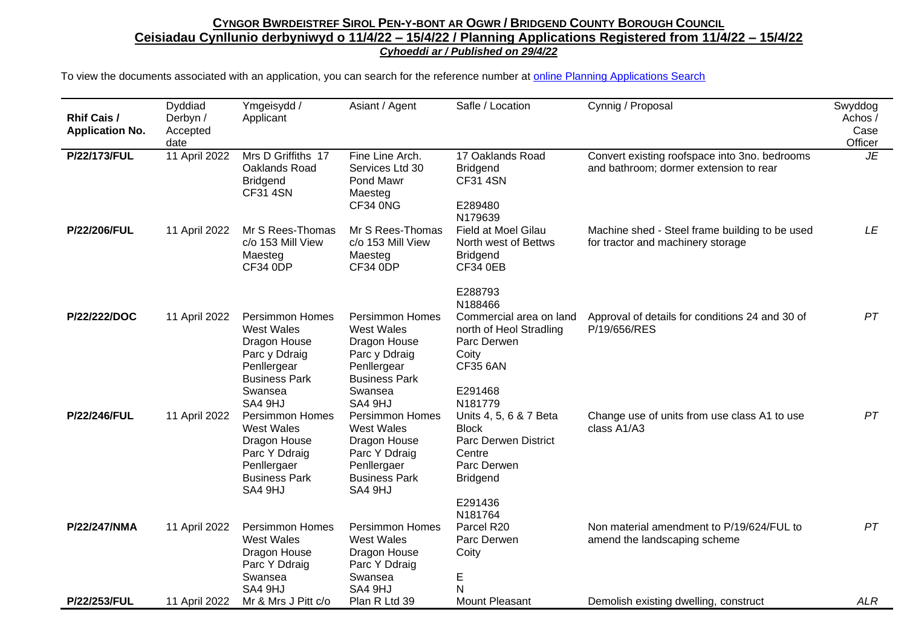## CYNGOR BWRDEISTREF SIROL PEN-Y-BONT AR OGWR / BRIDGEND COUNTY BOROUGH COUNCIL **Ceisiadau Cynllunio derbyniwyd o 11/4/22 – 15/4/22 / Planning Applications Registered from 11/4/22 – 15/4/22** *Cyhoeddi ar / Published on 29/4/22*

To view the documents associated with an application, you can search for the reference number at [online Planning Applications Search](http://planning.bridgend.gov.uk/)

| <b>Rhif Cais /</b><br><b>Application No.</b> | Dyddiad<br>Derbyn /<br>Accepted<br>date | Ymgeisydd /<br>Applicant                                                                                                                             | Asiant / Agent                                                                                                                                | Safle / Location                                                                                                                        | Cynnig / Proposal                                                                       | Swyddog<br>Achos/<br>Case<br>Officer |
|----------------------------------------------|-----------------------------------------|------------------------------------------------------------------------------------------------------------------------------------------------------|-----------------------------------------------------------------------------------------------------------------------------------------------|-----------------------------------------------------------------------------------------------------------------------------------------|-----------------------------------------------------------------------------------------|--------------------------------------|
| P/22/173/FUL                                 | 11 April 2022                           | Mrs D Griffiths 17<br>Oaklands Road<br><b>Bridgend</b><br><b>CF31 4SN</b>                                                                            | Fine Line Arch.<br>Services Ltd 30<br>Pond Mawr<br>Maesteg<br>CF34 0NG                                                                        | 17 Oaklands Road<br><b>Bridgend</b><br><b>CF31 4SN</b><br>E289480<br>N179639                                                            | Convert existing roofspace into 3no. bedrooms<br>and bathroom; dormer extension to rear | JE                                   |
| P/22/206/FUL                                 | 11 April 2022                           | Mr S Rees-Thomas<br>c/o 153 Mill View<br>Maesteg<br><b>CF34 0DP</b>                                                                                  | Mr S Rees-Thomas<br>c/o 153 Mill View<br>Maesteg<br><b>CF34 0DP</b>                                                                           | Field at Moel Gilau<br>North west of Bettws<br><b>Bridgend</b><br><b>CF34 0EB</b>                                                       | Machine shed - Steel frame building to be used<br>for tractor and machinery storage     | LE                                   |
| P/22/222/DOC                                 | 11 April 2022                           | <b>Persimmon Homes</b><br>West Wales<br>Dragon House<br>Parc y Ddraig<br>Penllergear<br><b>Business Park</b>                                         | <b>Persimmon Homes</b><br><b>West Wales</b><br>Dragon House<br>Parc y Ddraig<br>Penllergear<br><b>Business Park</b>                           | E288793<br>N188466<br>Commercial area on land<br>north of Heol Stradling<br>Parc Derwen<br>Coity<br><b>CF35 6AN</b>                     | Approval of details for conditions 24 and 30 of<br>P/19/656/RES                         | PT                                   |
| P/22/246/FUL                                 | 11 April 2022                           | Swansea<br>SA4 9HJ<br><b>Persimmon Homes</b><br><b>West Wales</b><br>Dragon House<br>Parc Y Ddraig<br>Penllergaer<br><b>Business Park</b><br>SA4 9HJ | Swansea<br>SA4 9HJ<br><b>Persimmon Homes</b><br>West Wales<br>Dragon House<br>Parc Y Ddraig<br>Penllergaer<br><b>Business Park</b><br>SA4 9HJ | E291468<br>N181779<br>Units 4, 5, 6 & 7 Beta<br><b>Block</b><br><b>Parc Derwen District</b><br>Centre<br>Parc Derwen<br><b>Bridgend</b> | Change use of units from use class A1 to use<br>class A1/A3                             | PT                                   |
| P/22/247/NMA                                 | 11 April 2022                           | <b>Persimmon Homes</b><br><b>West Wales</b><br>Dragon House<br>Parc Y Ddraig<br>Swansea                                                              | <b>Persimmon Homes</b><br>West Wales<br>Dragon House<br>Parc Y Ddraig<br>Swansea                                                              | E291436<br>N181764<br>Parcel R20<br>Parc Derwen<br>Coity<br>E                                                                           | Non material amendment to P/19/624/FUL to<br>amend the landscaping scheme               | PT                                   |
| P/22/253/FUL                                 | 11 April 2022                           | SA4 9HJ<br>Mr & Mrs J Pitt c/o                                                                                                                       | SA4 9HJ<br>Plan R Ltd 39                                                                                                                      | N<br><b>Mount Pleasant</b>                                                                                                              | Demolish existing dwelling, construct                                                   | ALR                                  |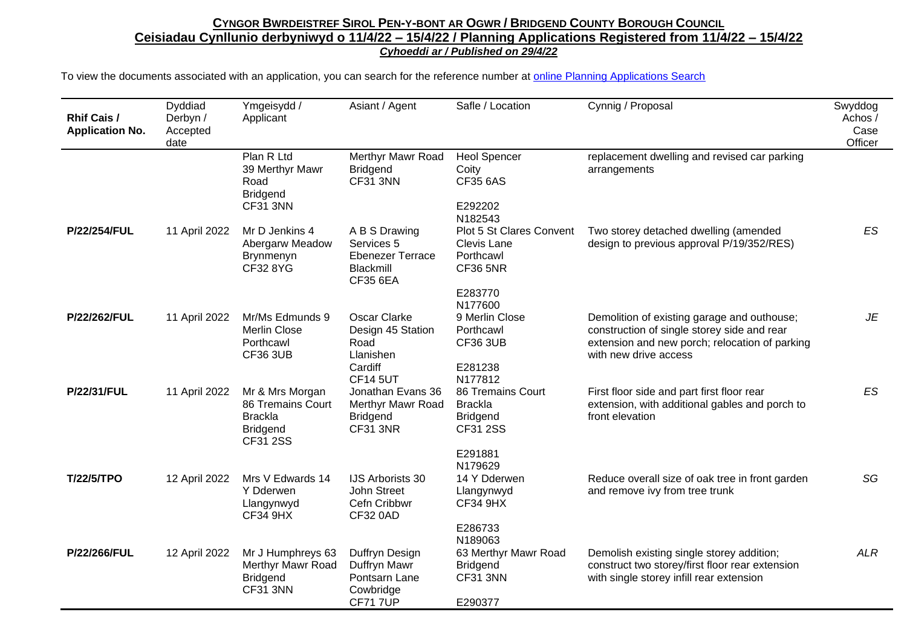## CYNGOR BWRDEISTREF SIROL PEN-Y-BONT AR OGWR / BRIDGEND COUNTY BOROUGH COUNCIL **Ceisiadau Cynllunio derbyniwyd o 11/4/22 – 15/4/22 / Planning Applications Registered from 11/4/22 – 15/4/22** *Cyhoeddi ar / Published on 29/4/22*

To view the documents associated with an application, you can search for the reference number at [online Planning Applications Search](http://planning.bridgend.gov.uk/)

| Rhif Cais /<br><b>Application No.</b> | Dyddiad<br>Derbyn /<br>Accepted<br>date | Ymgeisydd /<br>Applicant                                                              | Asiant / Agent                                                                              | Safle / Location                                                                                         | Cynnig / Proposal                                                                                                                                                     | Swyddog<br>Achos /<br>Case<br>Officer |
|---------------------------------------|-----------------------------------------|---------------------------------------------------------------------------------------|---------------------------------------------------------------------------------------------|----------------------------------------------------------------------------------------------------------|-----------------------------------------------------------------------------------------------------------------------------------------------------------------------|---------------------------------------|
|                                       |                                         | Plan R Ltd<br>39 Merthyr Mawr<br>Road<br><b>Bridgend</b><br>CF31 3NN                  | Merthyr Mawr Road<br><b>Bridgend</b><br><b>CF31 3NN</b>                                     | <b>Heol Spencer</b><br>Coity<br><b>CF35 6AS</b><br>E292202                                               | replacement dwelling and revised car parking<br>arrangements                                                                                                          |                                       |
| P/22/254/FUL                          | 11 April 2022                           | Mr D Jenkins 4<br>Abergarw Meadow<br>Brynmenyn<br>CF328YG                             | A B S Drawing<br>Services 5<br><b>Ebenezer Terrace</b><br>Blackmill<br><b>CF35 6EA</b>      | N182543<br>Plot 5 St Clares Convent<br>Clevis Lane<br>Porthcawl<br><b>CF36 5NR</b><br>E283770<br>N177600 | Two storey detached dwelling (amended<br>design to previous approval P/19/352/RES)                                                                                    | ES                                    |
| P/22/262/FUL                          | 11 April 2022                           | Mr/Ms Edmunds 9<br>Merlin Close<br>Porthcawl<br><b>CF36 3UB</b>                       | <b>Oscar Clarke</b><br>Design 45 Station<br>Road<br>Llanishen<br>Cardiff<br><b>CF14 5UT</b> | 9 Merlin Close<br>Porthcawl<br><b>CF36 3UB</b><br>E281238<br>N177812                                     | Demolition of existing garage and outhouse;<br>construction of single storey side and rear<br>extension and new porch; relocation of parking<br>with new drive access | JE                                    |
| <b>P/22/31/FUL</b>                    | 11 April 2022                           | Mr & Mrs Morgan<br>86 Tremains Court<br><b>Brackla</b><br><b>Bridgend</b><br>CF31 2SS | Jonathan Evans 36<br>Merthyr Mawr Road<br><b>Bridgend</b><br><b>CF31 3NR</b>                | 86 Tremains Court<br><b>Brackla</b><br><b>Bridgend</b><br><b>CF31 2SS</b><br>E291881                     | First floor side and part first floor rear<br>extension, with additional gables and porch to<br>front elevation                                                       | ES                                    |
| <b>T/22/5/TPO</b>                     | 12 April 2022                           | Mrs V Edwards 14<br>Y Dderwen<br>Llangynwyd<br><b>CF34 9HX</b>                        | <b>IJS Arborists 30</b><br>John Street<br>Cefn Cribbwr<br><b>CF32 0AD</b>                   | N179629<br>14 Y Dderwen<br>Llangynwyd<br><b>CF34 9HX</b><br>E286733<br>N189063                           | Reduce overall size of oak tree in front garden<br>and remove ivy from tree trunk                                                                                     | SG                                    |
| P/22/266/FUL                          | 12 April 2022                           | Mr J Humphreys 63<br>Merthyr Mawr Road<br><b>Bridgend</b><br><b>CF31 3NN</b>          | Duffryn Design<br>Duffryn Mawr<br>Pontsarn Lane<br>Cowbridge<br><b>CF717UP</b>              | 63 Merthyr Mawr Road<br><b>Bridgend</b><br>CF31 3NN<br>E290377                                           | Demolish existing single storey addition;<br>construct two storey/first floor rear extension<br>with single storey infill rear extension                              | <b>ALR</b>                            |